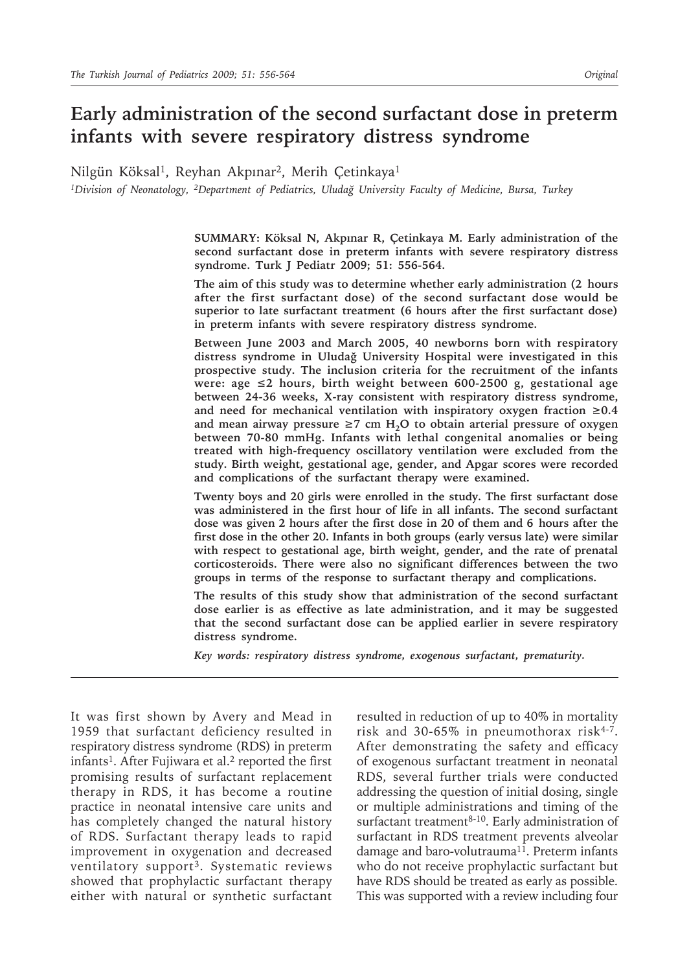# **Early administration of the second surfactant dose in preterm infants with severe respiratory distress syndrome**

Nilgün Köksal<sup>1</sup>, Reyhan Akpınar<sup>2</sup>, Merih Çetinkaya<sup>1</sup>

*1Division of Neonatology, 2Department of Pediatrics, Uludağ University Faculty of Medicine, Bursa, Turkey*

**SUMMARY: Köksal N, Akpınar R, Çetinkaya M. Early administration of the second surfactant dose in preterm infants with severe respiratory distress syndrome. Turk J Pediatr 2009; 51: 556-564.**

**The aim of this study was to determine whether early administration (2 hours after the first surfactant dose) of the second surfactant dose would be superior to late surfactant treatment (6 hours after the first surfactant dose) in preterm infants with severe respiratory distress syndrome.**

**Between June 2003 and March 2005, 40 newborns born with respiratory distress syndrome in Uludağ University Hospital were investigated in this prospective study. The inclusion criteria for the recruitment of the infants were: age ≤2 hours, birth weight between 600-2500 g, gestational age between 24-36 weeks, X-ray consistent with respiratory distress syndrome,**  and need for mechanical ventilation with inspiratory oxygen fraction  $\geq 0.4$ and mean airway pressure  $\geq 7$  cm H<sub>2</sub>O to obtain arterial pressure of oxygen **between 70-80 mmHg. Infants with lethal congenital anomalies or being treated with high-frequency oscillatory ventilation were excluded from the study. Birth weight, gestational age, gender, and Apgar scores were recorded and complications of the surfactant therapy were examined.**

**Twenty boys and 20 girls were enrolled in the study. The first surfactant dose was administered in the first hour of life in all infants. The second surfactant dose was given 2 hours after the first dose in 20 of them and 6 hours after the first dose in the other 20. Infants in both groups (early versus late) were similar with respect to gestational age, birth weight, gender, and the rate of prenatal corticosteroids. There were also no significant differences between the two groups in terms of the response to surfactant therapy and complications.**

**The results of this study show that administration of the second surfactant dose earlier is as effective as late administration, and it may be suggested that the second surfactant dose can be applied earlier in severe respiratory distress syndrome.**

*Key words: respiratory distress syndrome, exogenous surfactant, prematurity.*

It was first shown by Avery and Mead in 1959 that surfactant deficiency resulted in respiratory distress syndrome (RDS) in preterm infants<sup>1</sup>. After Fujiwara et al.<sup>2</sup> reported the first promising results of surfactant replacement therapy in RDS, it has become a routine practice in neonatal intensive care units and has completely changed the natural history of RDS. Surfactant therapy leads to rapid improvement in oxygenation and decreased ventilatory support3. Systematic reviews showed that prophylactic surfactant therapy either with natural or synthetic surfactant

resulted in reduction of up to 40% in mortality risk and 30-65% in pneumothorax risk<sup>4-7</sup>. After demonstrating the safety and efficacy of exogenous surfactant treatment in neonatal RDS, several further trials were conducted addressing the question of initial dosing, single or multiple administrations and timing of the surfactant treatment<sup>8-10</sup>. Early administration of surfactant in RDS treatment prevents alveolar damage and baro-volutrauma<sup>11</sup>. Preterm infants who do not receive prophylactic surfactant but have RDS should be treated as early as possible. This was supported with a review including four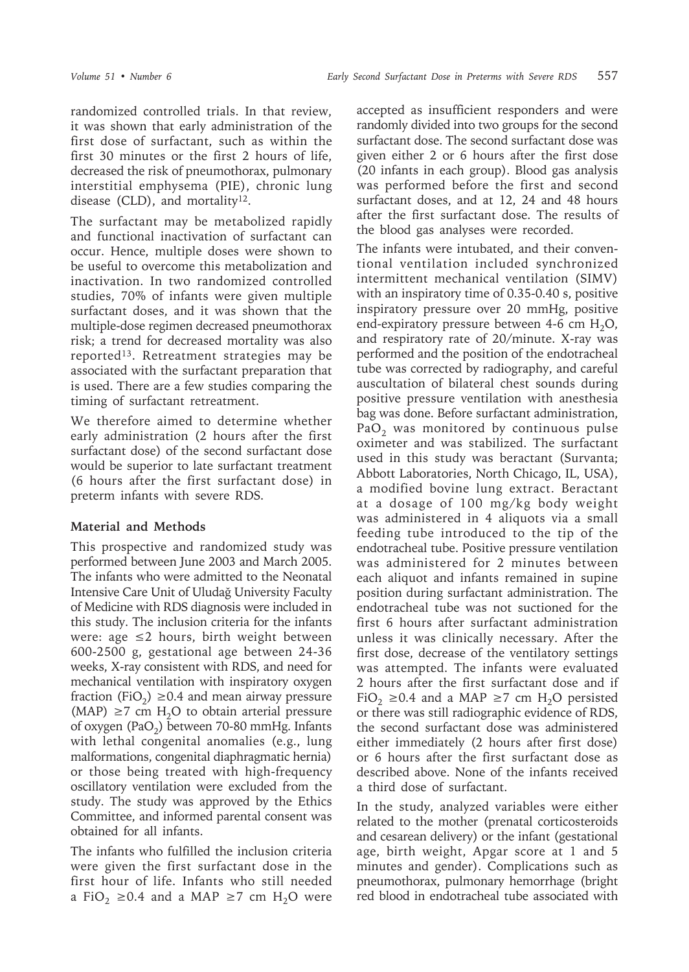randomized controlled trials. In that review, it was shown that early administration of the first dose of surfactant, such as within the first 30 minutes or the first 2 hours of life, decreased the risk of pneumothorax, pulmonary interstitial emphysema (PIE), chronic lung disease (CLD), and mortality<sup>12</sup>.

The surfactant may be metabolized rapidly and functional inactivation of surfactant can occur. Hence, multiple doses were shown to be useful to overcome this metabolization and inactivation. In two randomized controlled studies, 70% of infants were given multiple surfactant doses, and it was shown that the multiple-dose regimen decreased pneumothorax risk; a trend for decreased mortality was also reported13. Retreatment strategies may be associated with the surfactant preparation that is used. There are a few studies comparing the timing of surfactant retreatment.

We therefore aimed to determine whether early administration (2 hours after the first surfactant dose) of the second surfactant dose would be superior to late surfactant treatment (6 hours after the first surfactant dose) in preterm infants with severe RDS.

# **Material and Methods**

This prospective and randomized study was performed between June 2003 and March 2005. The infants who were admitted to the Neonatal Intensive Care Unit of Uludağ University Faculty of Medicine with RDS diagnosis were included in this study. The inclusion criteria for the infants were: age  $\leq 2$  hours, birth weight between 600-2500 g, gestational age between 24-36 weeks, X-ray consistent with RDS, and need for mechanical ventilation with inspiratory oxygen fraction (FiO<sub>2</sub>) ≥0.4 and mean airway pressure (MAP)  $\geq$ 7 cm H<sub>2</sub>O to obtain arterial pressure of oxygen (PaO<sub>2</sub>) between 70-80 mmHg. Infants with lethal congenital anomalies (e.g., lung malformations, congenital diaphragmatic hernia) or those being treated with high-frequency oscillatory ventilation were excluded from the study. The study was approved by the Ethics Committee, and informed parental consent was obtained for all infants.

The infants who fulfilled the inclusion criteria were given the first surfactant dose in the first hour of life. Infants who still needed a FiO<sub>2</sub> ≥0.4 and a MAP ≥7 cm H<sub>2</sub>O were

accepted as insufficient responders and were randomly divided into two groups for the second surfactant dose. The second surfactant dose was given either 2 or 6 hours after the first dose (20 infants in each group). Blood gas analysis was performed before the first and second surfactant doses, and at 12, 24 and 48 hours after the first surfactant dose. The results of the blood gas analyses were recorded.

The infants were intubated, and their conventional ventilation included synchronized intermittent mechanical ventilation (SIMV) with an inspiratory time of 0.35-0.40 s, positive inspiratory pressure over 20 mmHg, positive end-expiratory pressure between 4-6 cm  $H_2O$ , and respiratory rate of 20/minute. X-ray was performed and the position of the endotracheal tube was corrected by radiography, and careful auscultation of bilateral chest sounds during positive pressure ventilation with anesthesia bag was done. Before surfactant administration, PaO<sub>2</sub> was monitored by continuous pulse oximeter and was stabilized. The surfactant used in this study was beractant (Survanta; Abbott Laboratories, North Chicago, IL, USA), a modified bovine lung extract. Beractant at a dosage of 100 mg/kg body weight was administered in 4 aliquots via a small feeding tube introduced to the tip of the endotracheal tube. Positive pressure ventilation was administered for 2 minutes between each aliquot and infants remained in supine position during surfactant administration. The endotracheal tube was not suctioned for the first 6 hours after surfactant administration unless it was clinically necessary. After the first dose, decrease of the ventilatory settings was attempted. The infants were evaluated 2 hours after the first surfactant dose and if FiO<sub>2</sub> ≥0.4 and a MAP ≥7 cm H<sub>2</sub>O persisted or there was still radiographic evidence of RDS, the second surfactant dose was administered either immediately (2 hours after first dose) or 6 hours after the first surfactant dose as described above. None of the infants received a third dose of surfactant.

In the study, analyzed variables were either related to the mother (prenatal corticosteroids and cesarean delivery) or the infant (gestational age, birth weight, Apgar score at 1 and 5 minutes and gender). Complications such as pneumothorax, pulmonary hemorrhage (bright red blood in endotracheal tube associated with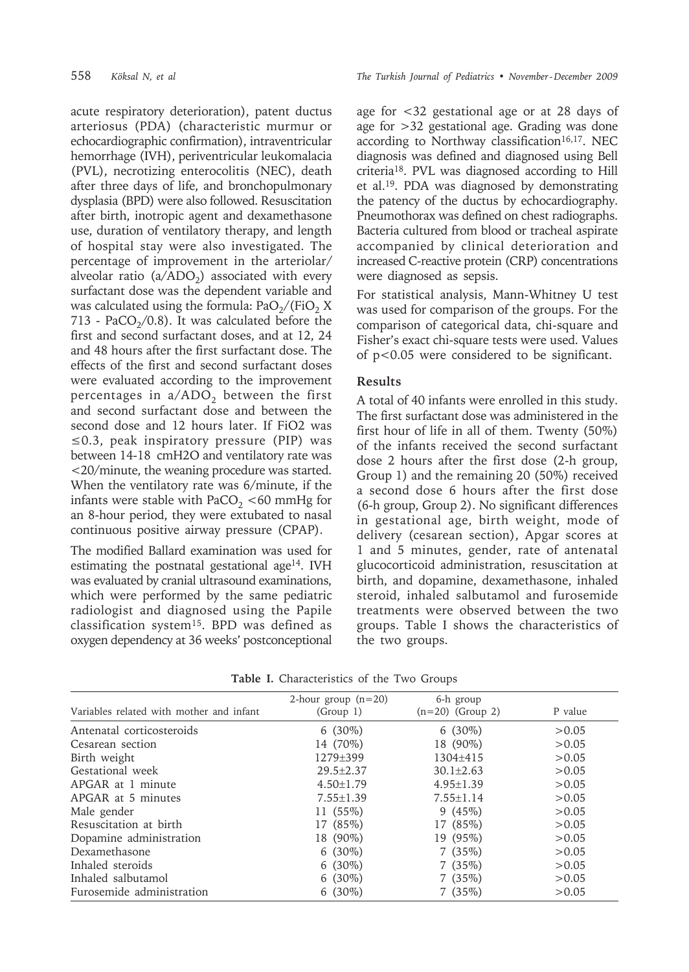acute respiratory deterioration), patent ductus arteriosus (PDA) (characteristic murmur or echocardiographic confirmation), intraventricular hemorrhage (IVH), periventricular leukomalacia (PVL), necrotizing enterocolitis (NEC), death after three days of life, and bronchopulmonary dysplasia (BPD) were also followed. Resuscitation after birth, inotropic agent and dexamethasone use, duration of ventilatory therapy, and length of hospital stay were also investigated. The percentage of improvement in the arteriolar/ alveolar ratio ( $a/ADO<sub>2</sub>$ ) associated with every surfactant dose was the dependent variable and was calculated using the formula:  $PaO<sub>2</sub> / (FiO<sub>2</sub> X)$ 713 - PaCO<sub>2</sub>/0.8). It was calculated before the first and second surfactant doses, and at 12, 24 and 48 hours after the first surfactant dose. The effects of the first and second surfactant doses were evaluated according to the improvement percentages in  $a/ADO<sub>2</sub>$  between the first and second surfactant dose and between the second dose and 12 hours later. If FiO2 was ≤0.3, peak inspiratory pressure (PIP) was between 14-18 cmH2O and ventilatory rate was <20/minute, the weaning procedure was started. When the ventilatory rate was 6/minute, if the infants were stable with PaCO<sub>2</sub> <60 mmHg for an 8-hour period, they were extubated to nasal continuous positive airway pressure (CPAP).

The modified Ballard examination was used for estimating the postnatal gestational age<sup>14</sup>. IVH was evaluated by cranial ultrasound examinations, which were performed by the same pediatric radiologist and diagnosed using the Papile classification system15. BPD was defined as oxygen dependency at 36 weeks' postconceptional

age for <32 gestational age or at 28 days of age for >32 gestational age. Grading was done according to Northway classification<sup>16,17</sup>. NEC diagnosis was defined and diagnosed using Bell criteria18. PVL was diagnosed according to Hill et al.19. PDA was diagnosed by demonstrating the patency of the ductus by echocardiography. Pneumothorax was defined on chest radiographs. Bacteria cultured from blood or tracheal aspirate accompanied by clinical deterioration and increased C-reactive protein (CRP) concentrations were diagnosed as sepsis.

For statistical analysis, Mann-Whitney U test was used for comparison of the groups. For the comparison of categorical data, chi-square and Fisher's exact chi-square tests were used. Values of p<0.05 were considered to be significant.

### **Results**

A total of 40 infants were enrolled in this study. The first surfactant dose was administered in the first hour of life in all of them. Twenty (50%) of the infants received the second surfactant dose 2 hours after the first dose (2-h group, Group 1) and the remaining 20 (50%) received a second dose 6 hours after the first dose (6-h group, Group 2). No significant differences in gestational age, birth weight, mode of delivery (cesarean section), Apgar scores at 1 and 5 minutes, gender, rate of antenatal glucocorticoid administration, resuscitation at birth, and dopamine, dexamethasone, inhaled steroid, inhaled salbutamol and furosemide treatments were observed between the two groups. Table I shows the characteristics of the two groups.

|                                          | 2-hour group $(n=20)$ | 6-h group          |         |
|------------------------------------------|-----------------------|--------------------|---------|
| Variables related with mother and infant | (Group 1)             | $(n=20)$ (Group 2) | P value |
| Antenatal corticosteroids                | $6(30\%)$             | $6(30\%)$          | > 0.05  |
| Cesarean section                         | 14 (70%)              | 18 (90%)           | > 0.05  |
| Birth weight                             | 1279±399              | $1304 + 415$       | > 0.05  |
| Gestational week                         | $29.5 + 2.37$         | $30.1 \pm 2.63$    | > 0.05  |
| APGAR at 1 minute                        | $4.50 \pm 1.79$       | $4.95 \pm 1.39$    | > 0.05  |
| APGAR at 5 minutes                       | $7.55 \pm 1.39$       | $7.55 \pm 1.14$    | > 0.05  |
| Male gender                              | $11(55\%)$            | 9(45%)             | > 0.05  |
| Resuscitation at birth                   | 17 (85%)              | 17 (85%)           | > 0.05  |
| Dopamine administration                  | 18 (90%)              | 19 (95%)           | > 0.05  |
| Dexamethasone                            | $6(30\%)$             | 7(35%)             | > 0.05  |
| Inhaled steroids                         | $6(30\%)$             | 7(35%)             | > 0.05  |
| Inhaled salbutamol                       | $6(30\%)$             | 7(35%)             | > 0.05  |
| Furosemide administration                | $6(30\%)$             | 7(35%)             | > 0.05  |

**Table I.** Characteristics of the Two Groups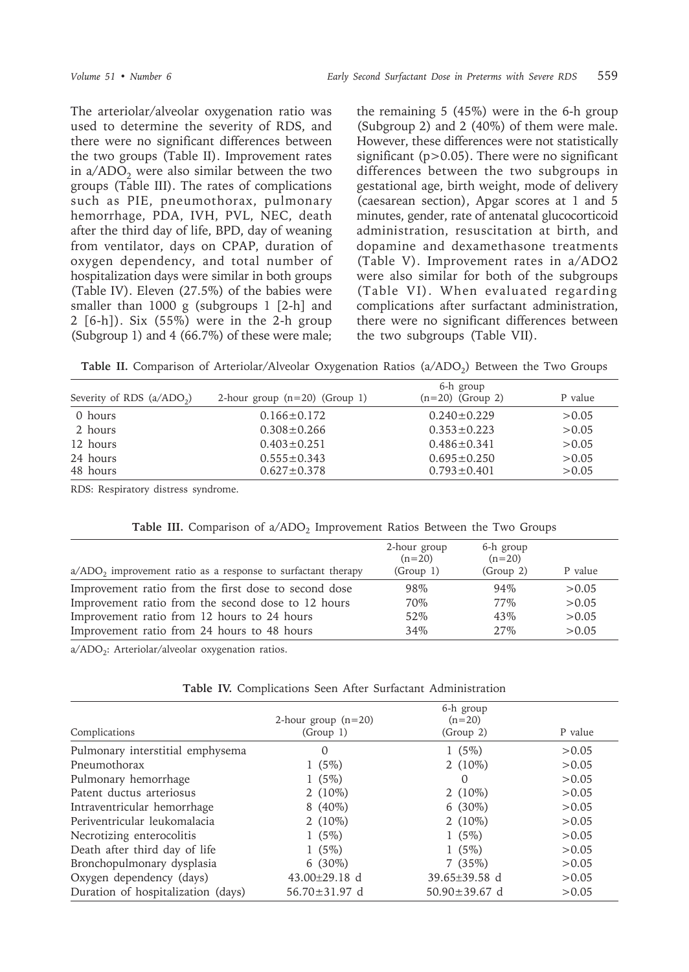The arteriolar/alveolar oxygenation ratio was used to determine the severity of RDS, and there were no significant differences between the two groups (Table II). Improvement rates in  $a/ADO<sub>2</sub>$  were also similar between the two groups (Table III). The rates of complications such as PIE, pneumothorax, pulmonary hemorrhage, PDA, IVH, PVL, NEC, death after the third day of life, BPD, day of weaning from ventilator, days on CPAP, duration of oxygen dependency, and total number of hospitalization days were similar in both groups (Table IV). Eleven (27.5%) of the babies were smaller than 1000 g (subgroups 1 [2-h] and 2 [6-h]). Six (55%) were in the 2-h group (Subgroup 1) and 4 (66.7%) of these were male;

the remaining 5 (45%) were in the 6-h group (Subgroup 2) and 2 (40%) of them were male. However, these differences were not statistically significant ( $p > 0.05$ ). There were no significant differences between the two subgroups in gestational age, birth weight, mode of delivery (caesarean section), Apgar scores at 1 and 5 minutes, gender, rate of antenatal glucocorticoid administration, resuscitation at birth, and dopamine and dexamethasone treatments (Table V). Improvement rates in a/ADO2 were also similar for both of the subgroups (Table VI). When evaluated regarding complications after surfactant administration, there were no significant differences between the two subgroups (Table VII).

Table II. Comparison of Arteriolar/Alveolar Oxygenation Ratios (a/ADO<sub>2</sub>) Between the Two Groups

| Severity of RDS $(a/ADO_2)$ | 2-hour group $(n=20)$ (Group 1)        | 6-h group<br>$(n=20)$ (Group 2)        | P value          |
|-----------------------------|----------------------------------------|----------------------------------------|------------------|
| 0 hours                     | $0.166 \pm 0.172$                      | $0.240 \pm 0.229$                      | > 0.05           |
| 2 hours                     | $0.308 \pm 0.266$                      | $0.353 \pm 0.223$                      | > 0.05           |
| 12 hours                    | $0.403 \pm 0.251$                      | $0.486 \pm 0.341$                      | > 0.05           |
| 24 hours<br>48 hours        | $0.555 \pm 0.343$<br>$0.627 \pm 0.378$ | $0.695 \pm 0.250$<br>$0.793 \pm 0.401$ | > 0.05<br>> 0.05 |

RDS: Respiratory distress syndrome.

**Table III.** Comparison of  $a/ADO<sub>2</sub>$  Improvement Ratios Between the Two Groups

| $a/ADO$ , improvement ratio as a response to surfactant therapy | 2-hour group<br>$(n=20)$<br>(Group 1) | 6-h group<br>$(n=20)$<br>(Group 2) | P value |
|-----------------------------------------------------------------|---------------------------------------|------------------------------------|---------|
| Improvement ratio from the first dose to second dose            | 98%                                   | $94\%$                             | > 0.05  |
| Improvement ratio from the second dose to 12 hours              | 70\%                                  | 77%                                | > 0.05  |
| Improvement ratio from 12 hours to 24 hours                     | 52\%                                  | 43%                                | > 0.05  |
| Improvement ratio from 24 hours to 48 hours                     | 34%                                   | $2.7\%$                            | > 0.05  |

a/ADO<sub>2</sub>: Arteriolar/alveolar oxygenation ratios.

|  |  |  |  |  |  |  | <b>Table IV.</b> Complications Seen After Surfactant Administration |
|--|--|--|--|--|--|--|---------------------------------------------------------------------|
|--|--|--|--|--|--|--|---------------------------------------------------------------------|

|                                    | 2-hour group $(n=20)$ | 6-h group<br>$(n=20)$ |         |
|------------------------------------|-----------------------|-----------------------|---------|
| Complications                      | (Group 1)             | (Group 2)             | P value |
| Pulmonary interstitial emphysema   | $\Omega$              | $1(5\%)$              | > 0.05  |
| Pneumothorax                       | $1(5\%)$              | 2 $(10\%)$            | > 0.05  |
| Pulmonary hemorrhage               | $1(5\%)$              | $\Omega$              | > 0.05  |
| Patent ductus arteriosus           | $2(10\%)$             | 2 $(10\%)$            | > 0.05  |
| Intraventricular hemorrhage        | $8(40\%)$             | $6(30\%)$             | > 0.05  |
| Periventricular leukomalacia       | $2(10\%)$             | $2(10\%)$             | > 0.05  |
| Necrotizing enterocolitis          | $1(5\%)$              | $1(5\%)$              | > 0.05  |
| Death after third day of life      | $1(5\%)$              | $1(5\%)$              | > 0.05  |
| Bronchopulmonary dysplasia         | $6(30\%)$             | 7(35%)                | > 0.05  |
| Oxygen dependency (days)           | 43.00 $\pm$ 29.18 d   | 39.65±39.58 d         | > 0.05  |
| Duration of hospitalization (days) | $56.70 \pm 31.97$ d   | $50.90 \pm 39.67$ d   | > 0.05  |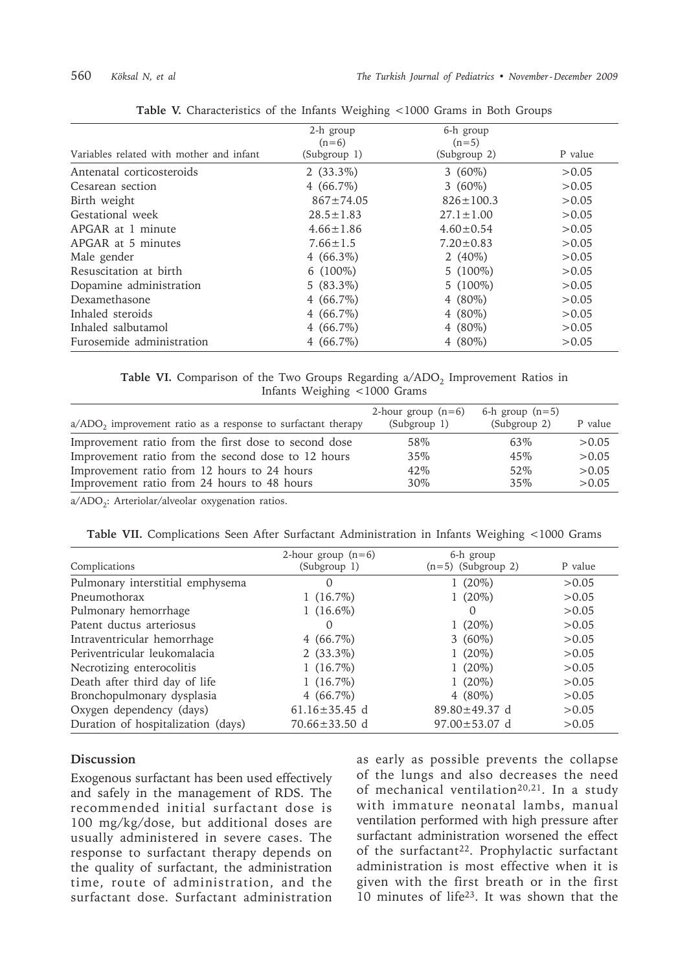|                                          | 2-h group       | 6-h group       |         |
|------------------------------------------|-----------------|-----------------|---------|
|                                          | $(n=6)$         | $(n=5)$         |         |
| Variables related with mother and infant | (Subgroup 1)    | (Subgroup 2)    | P value |
| Antenatal corticosteroids                | $2(33.3\%)$     | $3(60\%)$       | > 0.05  |
| Cesarean section                         | $4(66.7\%)$     | $3(60\%)$       | > 0.05  |
| Birth weight                             | $867 \pm 74.05$ | $826 \pm 100.3$ | > 0.05  |
| Gestational week                         | $28.5 \pm 1.83$ | $27.1 \pm 1.00$ | > 0.05  |
| APGAR at 1 minute                        | $4.66 \pm 1.86$ | $4.60 \pm 0.54$ | > 0.05  |
| APGAR at 5 minutes                       | $7.66 \pm 1.5$  | $7.20 \pm 0.83$ | > 0.05  |
| Male gender                              | $4(66.3\%)$     | 2 $(40\%)$      | > 0.05  |
| Resuscitation at birth                   | $6(100\%)$      | $5(100\%)$      | > 0.05  |
| Dopamine administration                  | $5(83.3\%)$     | $5(100\%)$      | > 0.05  |
| Dexamethasone                            | $4(66.7\%)$     | 4 $(80\%)$      | > 0.05  |
| Inhaled steroids                         | $4(66.7\%)$     | 4 $(80\%)$      | > 0.05  |
| Inhaled salbutamol                       | $4(66.7\%)$     | 4 $(80\%)$      | > 0.05  |
| Furosemide administration                | $4(66.7\%)$     | 4 $(80\%)$      | >0.05   |

|  |  | Table V. Characteristics of the Infants Weighing <1000 Grams in Both Groups |  |  |  |  |  |  |  |  |  |
|--|--|-----------------------------------------------------------------------------|--|--|--|--|--|--|--|--|--|
|--|--|-----------------------------------------------------------------------------|--|--|--|--|--|--|--|--|--|

**Table VI.** Comparison of the Two Groups Regarding a/ADO<sub>2</sub> Improvement Ratios in Infants Weighing <1000 Grams

| $a/ADO$ , improvement ratio as a response to surfactant therapy | 2-hour group $(n=6)$<br>(Subgroup 1) | 6-h group $(n=5)$<br>(Subgroup 2) | P value |
|-----------------------------------------------------------------|--------------------------------------|-----------------------------------|---------|
| Improvement ratio from the first dose to second dose            | 58%                                  | 63\%                              | > 0.05  |
| Improvement ratio from the second dose to 12 hours              | 35%                                  | 45%                               | > 0.05  |
| Improvement ratio from 12 hours to 24 hours                     | 42\%                                 | 52\%                              | > 0.05  |
| Improvement ratio from 24 hours to 48 hours                     | 30%                                  | 35%                               | > 0.05  |

a/ADO<sub>2</sub>: Arteriolar/alveolar oxygenation ratios.

Table VII. Complications Seen After Surfactant Administration in Infants Weighing <1000 Grams

| Complications                      | 2-hour group $(n=6)$<br>(Subgroup 1) | 6-h group<br>$(n=5)$ (Subgroup 2) | P value |
|------------------------------------|--------------------------------------|-----------------------------------|---------|
| Pulmonary interstitial emphysema   | 0                                    | $1(20\%)$                         | > 0.05  |
| Pneumothorax                       | $1(16.7\%)$                          | $1(20\%)$                         | > 0.05  |
| Pulmonary hemorrhage               | $1(16.6\%)$                          |                                   | > 0.05  |
| Patent ductus arteriosus           |                                      | 1 $(20\%)$                        | >0.05   |
| Intraventricular hemorrhage        | $4(66.7\%)$                          | $3(60\%)$                         | > 0.05  |
| Periventricular leukomalacia       | $2(33.3\%)$                          | 1 $(20\%)$                        | > 0.05  |
| Necrotizing enterocolitis          | $1(16.7\%)$                          | $1(20\%)$                         | >0.05   |
| Death after third day of life      | $1(16.7\%)$                          | $1(20\%)$                         | >0.05   |
| Bronchopulmonary dysplasia         | $4(66.7\%)$                          | $4(80\%)$                         | > 0.05  |
| Oxygen dependency (days)           | $61.16 \pm 35.45$ d                  | $89.80 \pm 49.37$ d               | > 0.05  |
| Duration of hospitalization (days) | $70.66 \pm 33.50$ d                  | $97.00 \pm 53.07$ d               | > 0.05  |

## **Discussion**

Exogenous surfactant has been used effectively and safely in the management of RDS. The recommended initial surfactant dose is 100 mg/kg/dose, but additional doses are usually administered in severe cases. The response to surfactant therapy depends on the quality of surfactant, the administration time, route of administration, and the surfactant dose. Surfactant administration

as early as possible prevents the collapse of the lungs and also decreases the need of mechanical ventilation<sup>20,21</sup>. In a study with immature neonatal lambs, manual ventilation performed with high pressure after surfactant administration worsened the effect of the surfactant<sup>22</sup>. Prophylactic surfactant administration is most effective when it is given with the first breath or in the first 10 minutes of life23. It was shown that the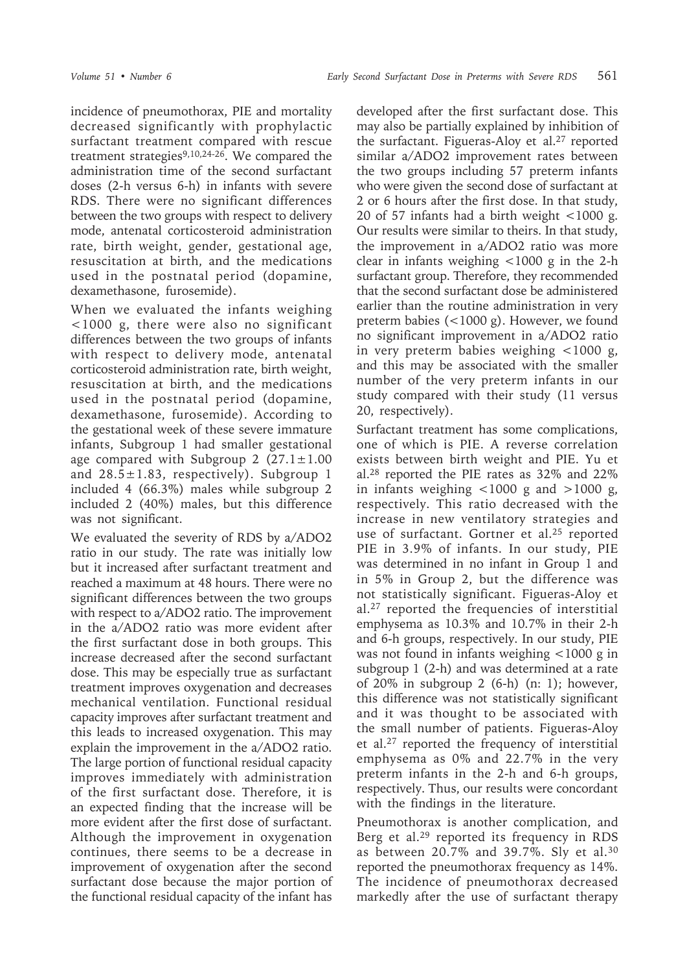incidence of pneumothorax, PIE and mortality decreased significantly with prophylactic surfactant treatment compared with rescue treatment strategies<sup>9,10,24-26</sup>. We compared the administration time of the second surfactant doses (2-h versus 6-h) in infants with severe RDS. There were no significant differences between the two groups with respect to delivery mode, antenatal corticosteroid administration rate, birth weight, gender, gestational age, resuscitation at birth, and the medications used in the postnatal period (dopamine, dexamethasone, furosemide).

When we evaluated the infants weighing <1000 g, there were also no significant differences between the two groups of infants with respect to delivery mode, antenatal corticosteroid administration rate, birth weight, resuscitation at birth, and the medications used in the postnatal period (dopamine, dexamethasone, furosemide). According to the gestational week of these severe immature infants, Subgroup 1 had smaller gestational age compared with Subgroup 2  $(27.1 \pm 1.00)$ and  $28.5 \pm 1.83$ , respectively). Subgroup 1 included 4 (66.3%) males while subgroup 2 included 2 (40%) males, but this difference was not significant.

We evaluated the severity of RDS by a/ADO2 ratio in our study. The rate was initially low but it increased after surfactant treatment and reached a maximum at 48 hours. There were no significant differences between the two groups with respect to a/ADO2 ratio. The improvement in the a/ADO2 ratio was more evident after the first surfactant dose in both groups. This increase decreased after the second surfactant dose. This may be especially true as surfactant treatment improves oxygenation and decreases mechanical ventilation. Functional residual capacity improves after surfactant treatment and this leads to increased oxygenation. This may explain the improvement in the a/ADO2 ratio. The large portion of functional residual capacity improves immediately with administration of the first surfactant dose. Therefore, it is an expected finding that the increase will be more evident after the first dose of surfactant. Although the improvement in oxygenation continues, there seems to be a decrease in improvement of oxygenation after the second surfactant dose because the major portion of the functional residual capacity of the infant has

developed after the first surfactant dose. This may also be partially explained by inhibition of the surfactant. Figueras-Aloy et al.27 reported similar a/ADO2 improvement rates between the two groups including 57 preterm infants who were given the second dose of surfactant at 2 or 6 hours after the first dose. In that study, 20 of 57 infants had a birth weight <1000 g. Our results were similar to theirs. In that study, the improvement in a/ADO2 ratio was more clear in infants weighing <1000 g in the 2-h surfactant group. Therefore, they recommended that the second surfactant dose be administered earlier than the routine administration in very preterm babies (<1000 g). However, we found no significant improvement in a/ADO2 ratio in very preterm babies weighing <1000 g, and this may be associated with the smaller number of the very preterm infants in our study compared with their study (11 versus 20, respectively).

Surfactant treatment has some complications, one of which is PIE. A reverse correlation exists between birth weight and PIE. Yu et al.28 reported the PIE rates as 32% and 22% in infants weighing  $\lt$ 1000 g and  $>$ 1000 g, respectively. This ratio decreased with the increase in new ventilatory strategies and use of surfactant. Gortner et al.25 reported PIE in 3.9% of infants. In our study, PIE was determined in no infant in Group 1 and in 5% in Group 2, but the difference was not statistically significant. Figueras-Aloy et al.27 reported the frequencies of interstitial emphysema as 10.3% and 10.7% in their 2-h and 6-h groups, respectively. In our study, PIE was not found in infants weighing <1000 g in subgroup 1 (2-h) and was determined at a rate of 20% in subgroup 2 (6-h) (n: 1); however, this difference was not statistically significant and it was thought to be associated with the small number of patients. Figueras-Aloy et al.27 reported the frequency of interstitial emphysema as 0% and 22.7% in the very preterm infants in the 2-h and 6-h groups, respectively. Thus, our results were concordant with the findings in the literature.

Pneumothorax is another complication, and Berg et al.<sup>29</sup> reported its frequency in RDS as between 20.7% and 39.7%. Sly et al.30 reported the pneumothorax frequency as 14%. The incidence of pneumothorax decreased markedly after the use of surfactant therapy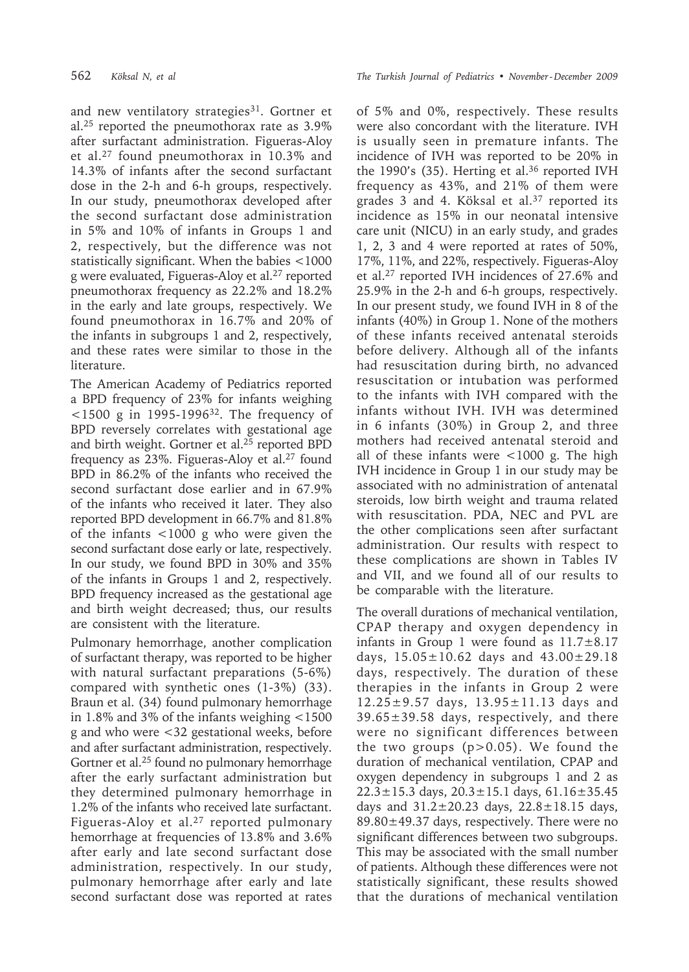and new ventilatory strategies<sup>31</sup>. Gortner et al.25 reported the pneumothorax rate as 3.9% after surfactant administration. Figueras-Aloy et al.27 found pneumothorax in 10.3% and 14.3% of infants after the second surfactant dose in the 2-h and 6-h groups, respectively. In our study, pneumothorax developed after the second surfactant dose administration in 5% and 10% of infants in Groups 1 and 2, respectively, but the difference was not statistically significant. When the babies <1000 g were evaluated, Figueras-Aloy et al.27 reported pneumothorax frequency as 22.2% and 18.2% in the early and late groups, respectively. We found pneumothorax in 16.7% and 20% of the infants in subgroups 1 and 2, respectively, and these rates were similar to those in the literature.

The American Academy of Pediatrics reported a BPD frequency of 23% for infants weighing <1500 g in 1995-199632. The frequency of BPD reversely correlates with gestational age and birth weight. Gortner et al.25 reported BPD frequency as 23%. Figueras-Aloy et al.<sup>27</sup> found BPD in 86.2% of the infants who received the second surfactant dose earlier and in 67.9% of the infants who received it later. They also reported BPD development in 66.7% and 81.8% of the infants <1000 g who were given the second surfactant dose early or late, respectively. In our study, we found BPD in 30% and 35% of the infants in Groups 1 and 2, respectively. BPD frequency increased as the gestational age and birth weight decreased; thus, our results are consistent with the literature.

Pulmonary hemorrhage, another complication of surfactant therapy, was reported to be higher with natural surfactant preparations (5-6%) compared with synthetic ones (1-3%) (33). Braun et al. (34) found pulmonary hemorrhage in 1.8% and 3% of the infants weighing <1500 g and who were <32 gestational weeks, before and after surfactant administration, respectively. Gortner et al.<sup>25</sup> found no pulmonary hemorrhage after the early surfactant administration but they determined pulmonary hemorrhage in 1.2% of the infants who received late surfactant. Figueras-Aloy et al.<sup>27</sup> reported pulmonary hemorrhage at frequencies of 13.8% and 3.6% after early and late second surfactant dose administration, respectively. In our study, pulmonary hemorrhage after early and late second surfactant dose was reported at rates of 5% and 0%, respectively. These results were also concordant with the literature. IVH is usually seen in premature infants. The incidence of IVH was reported to be 20% in the 1990's (35). Herting et al.<sup>36</sup> reported IVH frequency as 43%, and 21% of them were grades 3 and 4. Köksal et al.37 reported its incidence as 15% in our neonatal intensive care unit (NICU) in an early study, and grades 1, 2, 3 and 4 were reported at rates of 50%, 17%, 11%, and 22%, respectively. Figueras-Aloy et al.27 reported IVH incidences of 27.6% and 25.9% in the 2-h and 6-h groups, respectively. In our present study, we found IVH in 8 of the infants (40%) in Group 1. None of the mothers of these infants received antenatal steroids before delivery. Although all of the infants had resuscitation during birth, no advanced resuscitation or intubation was performed to the infants with IVH compared with the infants without IVH. IVH was determined in 6 infants (30%) in Group 2, and three mothers had received antenatal steroid and all of these infants were <1000 g. The high IVH incidence in Group 1 in our study may be associated with no administration of antenatal steroids, low birth weight and trauma related with resuscitation. PDA, NEC and PVL are the other complications seen after surfactant administration. Our results with respect to these complications are shown in Tables IV and VII, and we found all of our results to be comparable with the literature.

The overall durations of mechanical ventilation, CPAP therapy and oxygen dependency in infants in Group 1 were found as  $11.7\pm8.17$ days,  $15.05 \pm 10.62$  days and  $43.00 \pm 29.18$ days, respectively. The duration of these therapies in the infants in Group 2 were 12.25±9.57 days, 13.95±11.13 days and  $39.65 \pm 39.58$  days, respectively, and there were no significant differences between the two groups  $(p>0.05)$ . We found the duration of mechanical ventilation, CPAP and oxygen dependency in subgroups 1 and 2 as  $22.3 \pm 15.3$  days,  $20.3 \pm 15.1$  days,  $61.16 \pm 35.45$ days and  $31.2 \pm 20.23$  days,  $22.8 \pm 18.15$  days,  $89.80 \pm 49.37$  days, respectively. There were no significant differences between two subgroups. This may be associated with the small number of patients. Although these differences were not statistically significant, these results showed that the durations of mechanical ventilation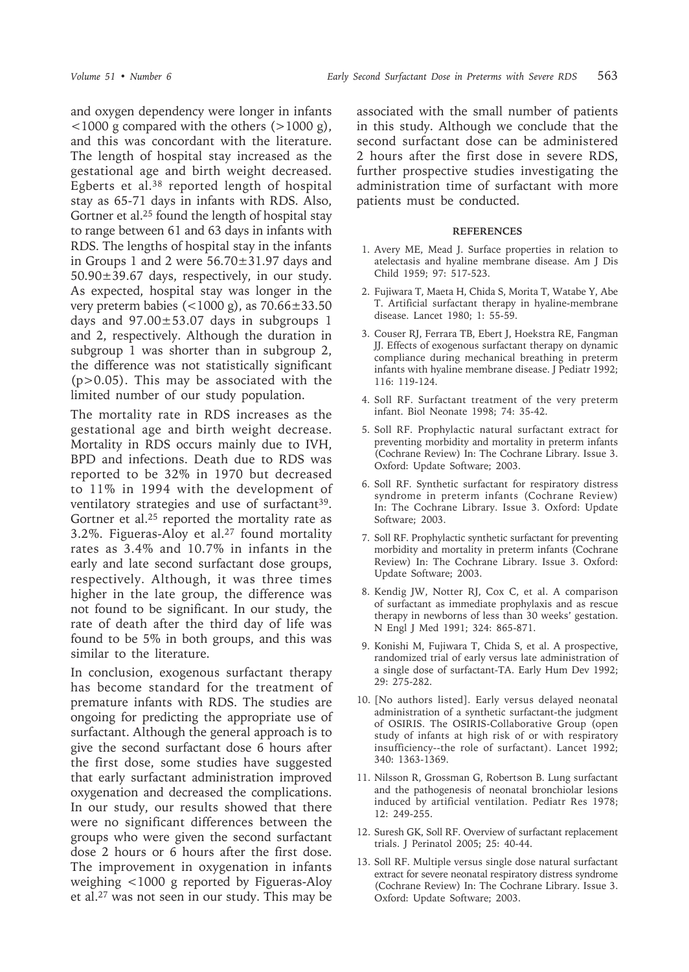and oxygen dependency were longer in infants  $\langle$  <1000 g compared with the others ( $>$ 1000 g), and this was concordant with the literature. The length of hospital stay increased as the gestational age and birth weight decreased. Egberts et al.38 reported length of hospital stay as 65-71 days in infants with RDS. Also, Gortner et al.<sup>25</sup> found the length of hospital stay to range between 61 and 63 days in infants with RDS. The lengths of hospital stay in the infants in Groups 1 and 2 were 56.70±31.97 days and 50.90±39.67 days, respectively, in our study. As expected, hospital stay was longer in the very preterm babies (<1000 g), as 70.66±33.50 days and 97.00±53.07 days in subgroups 1 and 2, respectively. Although the duration in subgroup 1 was shorter than in subgroup 2, the difference was not statistically significant (p>0.05). This may be associated with the limited number of our study population.

The mortality rate in RDS increases as the gestational age and birth weight decrease. Mortality in RDS occurs mainly due to IVH, BPD and infections. Death due to RDS was reported to be 32% in 1970 but decreased to 11% in 1994 with the development of ventilatory strategies and use of surfactant<sup>39</sup>. Gortner et al.<sup>25</sup> reported the mortality rate as 3.2%. Figueras-Aloy et al.27 found mortality rates as 3.4% and 10.7% in infants in the early and late second surfactant dose groups, respectively. Although, it was three times higher in the late group, the difference was not found to be significant. In our study, the rate of death after the third day of life was found to be 5% in both groups, and this was similar to the literature.

In conclusion, exogenous surfactant therapy has become standard for the treatment of premature infants with RDS. The studies are ongoing for predicting the appropriate use of surfactant. Although the general approach is to give the second surfactant dose 6 hours after the first dose, some studies have suggested that early surfactant administration improved oxygenation and decreased the complications. In our study, our results showed that there were no significant differences between the groups who were given the second surfactant dose 2 hours or 6 hours after the first dose. The improvement in oxygenation in infants weighing <1000 g reported by Figueras-Aloy et al.27 was not seen in our study. This may be

associated with the small number of patients in this study. Although we conclude that the second surfactant dose can be administered 2 hours after the first dose in severe RDS, further prospective studies investigating the administration time of surfactant with more patients must be conducted.

### **REFERENCES**

- 1. Avery ME, Mead J. Surface properties in relation to atelectasis and hyaline membrane disease. Am J Dis Child 1959; 97: 517-523.
- 2. Fujiwara T, Maeta H, Chida S, Morita T, Watabe Y, Abe T. Artificial surfactant therapy in hyaline-membrane disease. Lancet 1980; 1: 55-59.
- 3. Couser RJ, Ferrara TB, Ebert J, Hoekstra RE, Fangman JJ. Effects of exogenous surfactant therapy on dynamic compliance during mechanical breathing in preterm infants with hyaline membrane disease. J Pediatr 1992; 116: 119-124.
- 4. Soll RF. Surfactant treatment of the very preterm infant. Biol Neonate 1998; 74: 35-42.
- 5. Soll RF. Prophylactic natural surfactant extract for preventing morbidity and mortality in preterm infants (Cochrane Review) In: The Cochrane Library. Issue 3. Oxford: Update Software; 2003.
- 6. Soll RF. Synthetic surfactant for respiratory distress syndrome in preterm infants (Cochrane Review) In: The Cochrane Library. Issue 3. Oxford: Update Software; 2003.
- 7. Soll RF. Prophylactic synthetic surfactant for preventing morbidity and mortality in preterm infants (Cochrane Review) In: The Cochrane Library. Issue 3. Oxford: Update Software; 2003.
- 8. Kendig JW, Notter RJ, Cox C, et al. A comparison of surfactant as immediate prophylaxis and as rescue therapy in newborns of less than 30 weeks' gestation. N Engl J Med 1991; 324: 865-871.
- 9. Konishi M, Fujiwara T, Chida S, et al. A prospective, randomized trial of early versus late administration of a single dose of surfactant-TA. Early Hum Dev 1992; 29: 275-282.
- 10. [No authors listed]. Early versus delayed neonatal administration of a synthetic surfactant-the judgment of OSIRIS. The OSIRIS-Collaborative Group (open study of infants at high risk of or with respiratory insufficiency--the role of surfactant). Lancet 1992; 340: 1363-1369.
- 11. Nilsson R, Grossman G, Robertson B. Lung surfactant and the pathogenesis of neonatal bronchiolar lesions induced by artificial ventilation. Pediatr Res 1978; 12: 249-255.
- 12. Suresh GK, Soll RF. Overview of surfactant replacement trials. J Perinatol 2005; 25: 40-44.
- 13. Soll RF. Multiple versus single dose natural surfactant extract for severe neonatal respiratory distress syndrome (Cochrane Review) In: The Cochrane Library. Issue 3. Oxford: Update Software; 2003.